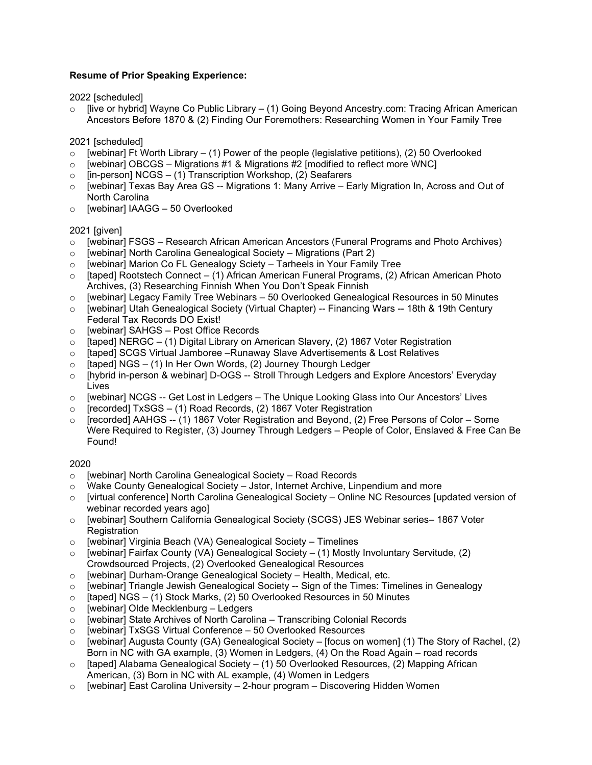## Resume of Prior Speaking Experience:

2022 [scheduled]

[live or hybrid] Wayne Co Public Library – (1) Going Beyond Ancestry.com: Tracing African American Ancestors Before 1870 & (2) Finding Our Foremothers: Researching Women in Your Family Tree

2021 [scheduled]

- $\circ$  [webinar] Ft Worth Library (1) Power of the people (legislative petitions), (2) 50 Overlooked
- $\circ$  [webinar] OBCGS Migrations #1 & Migrations #2 [modified to reflect more WNC]
- $\circ$  [in-person] NCGS (1) Transcription Workshop, (2) Seafarers
- $\circ$  [webinar] Texas Bay Area GS -- Migrations 1: Many Arrive Early Migration In, Across and Out of North Carolina
- o [webinar] IAAGG 50 Overlooked

2021 [given]

- [webinar] FSGS Research African American Ancestors (Funeral Programs and Photo Archives)
- $\circ$  [webinar] North Carolina Genealogical Society Migrations (Part 2)
- o [webinar] Marion Co FL Genealogy Sciety Tarheels in Your Family Tree
- $\circ$  [taped] Rootstech Connect (1) African American Funeral Programs, (2) African American Photo Archives, (3) Researching Finnish When You Don't Speak Finnish
- o [webinar] Legacy Family Tree Webinars 50 Overlooked Genealogical Resources in 50 Minutes
- o [webinar] Utah Genealogical Society (Virtual Chapter) -- Financing Wars -- 18th & 19th Century Federal Tax Records DO Exist!
- o [webinar] SAHGS Post Office Records
- $\circ$  [taped] NERGC (1) Digital Library on American Slavery, (2) 1867 Voter Registration
- o [taped] SCGS Virtual Jamboree –Runaway Slave Advertisements & Lost Relatives
- $\circ$  [taped] NGS (1) In Her Own Words, (2) Journey Thourgh Ledger
- o [hybrid in-person & webinar] D-OGS -- Stroll Through Ledgers and Explore Ancestors' Everyday Lives
- $\circ$  [webinar] NCGS -- Get Lost in Ledgers The Unique Looking Glass into Our Ancestors' Lives
- $\circ$  [recorded] TxSGS (1) Road Records, (2) 1867 Voter Registration
- [recorded] AAHGS -- (1) 1867 Voter Registration and Beyond, (2) Free Persons of Color Some Were Required to Register, (3) Journey Through Ledgers – People of Color, Enslaved & Free Can Be Found!

## 2020

- o [webinar] North Carolina Genealogical Society Road Records
- Wake County Genealogical Society Jstor, Internet Archive, Linpendium and more
- $\circ$  [virtual conference] North Carolina Genealogical Society Online NC Resources [updated version of webinar recorded years ago]
- o [webinar] Southern California Genealogical Society (SCGS) JES Webinar series– 1867 Voter **Registration**
- o [webinar] Virginia Beach (VA) Genealogical Society Timelines
- $\circ$  [webinar] Fairfax County (VA) Genealogical Society (1) Mostly Involuntary Servitude, (2) Crowdsourced Projects, (2) Overlooked Genealogical Resources
- o [webinar] Durham-Orange Genealogical Society Health, Medical, etc.
- $\circ$  [webinar] Triangle Jewish Genealogical Society -- Sign of the Times: Timelines in Genealogy
- $\circ$  [taped] NGS (1) Stock Marks, (2) 50 Overlooked Resources in 50 Minutes
- o [webinar] Olde Mecklenburg Ledgers
- o [webinar] State Archives of North Carolina Transcribing Colonial Records
- o [webinar] TxSGS Virtual Conference 50 Overlooked Resources
- $\circ$  [webinar] Augusta County (GA) Genealogical Society [focus on women] (1) The Story of Rachel, (2) Born in NC with GA example, (3) Women in Ledgers, (4) On the Road Again – road records
- o [taped] Alabama Genealogical Society (1) 50 Overlooked Resources, (2) Mapping African American, (3) Born in NC with AL example, (4) Women in Ledgers
- $\circ$  [webinar] East Carolina University 2-hour program Discovering Hidden Women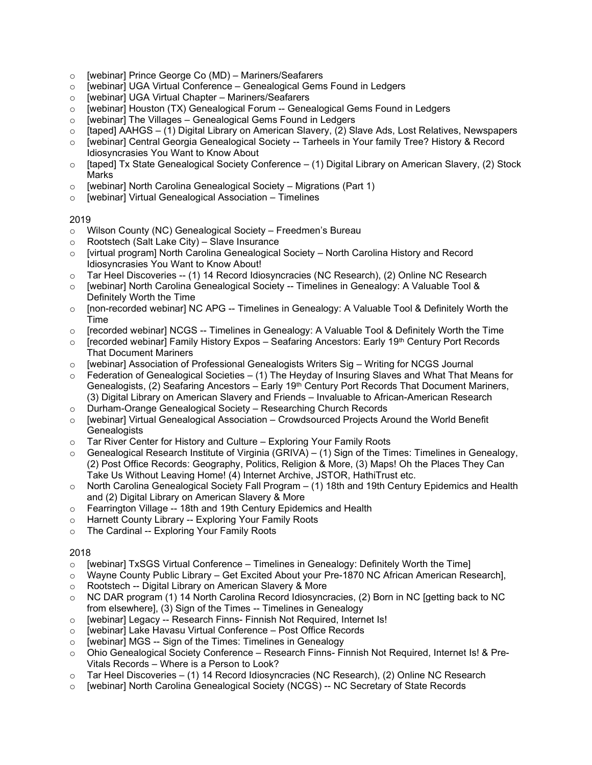- o [webinar] Prince George Co (MD) Mariners/Seafarers
- o [webinar] UGA Virtual Conference Genealogical Gems Found in Ledgers
- o [webinar] UGA Virtual Chapter Mariners/Seafarers
- $\circ$  [webinar] Houston (TX) Genealogical Forum -- Genealogical Gems Found in Ledgers
- $\circ$  [webinar] The Villages Genealogical Gems Found in Ledgers
- $\circ$  [taped] AAHGS (1) Digital Library on American Slavery, (2) Slave Ads, Lost Relatives, Newspapers
- o [webinar] Central Georgia Genealogical Society -- Tarheels in Your family Tree? History & Record Idiosyncrasies You Want to Know About
- $\circ$  [taped] Tx State Genealogical Society Conference (1) Digital Library on American Slavery, (2) Stock Marks
- o [webinar] North Carolina Genealogical Society Migrations (Part 1)
- o [webinar] Virtual Genealogical Association Timelines

## 2019

- o Wilson County (NC) Genealogical Society Freedmen's Bureau
- o Rootstech (Salt Lake City) Slave Insurance
- o [virtual program] North Carolina Genealogical Society North Carolina History and Record Idiosyncrasies You Want to Know About!
- o Tar Heel Discoveries -- (1) 14 Record Idiosyncracies (NC Research), (2) Online NC Research
- o [webinar] North Carolina Genealogical Society -- Timelines in Genealogy: A Valuable Tool & Definitely Worth the Time
- o [non-recorded webinar] NC APG -- Timelines in Genealogy: A Valuable Tool & Definitely Worth the Time
- $\circ$  [recorded webinar] NCGS -- Timelines in Genealogy: A Valuable Tool & Definitely Worth the Time
- $\circ$  [recorded webinar] Family History Expos Seafaring Ancestors: Early 19<sup>th</sup> Century Port Records That Document Mariners
- [webinar] Association of Professional Genealogists Writers Sig Writing for NCGS Journal
- $\circ$  Federation of Genealogical Societies (1) The Heyday of Insuring Slaves and What That Means for Genealogists, (2) Seafaring Ancestors – Early 19<sup>th</sup> Century Port Records That Document Mariners, (3) Digital Library on American Slavery and Friends – Invaluable to African-American Research
- o Durham-Orange Genealogical Society Researching Church Records
- o [webinar] Virtual Genealogical Association Crowdsourced Projects Around the World Benefit **Genealogists**
- o Tar River Center for History and Culture Exploring Your Family Roots
- Genealogical Research Institute of Virginia (GRIVA) (1) Sign of the Times: Timelines in Genealogy, (2) Post Office Records: Geography, Politics, Religion & More, (3) Maps! Oh the Places They Can Take Us Without Leaving Home! (4) Internet Archive, JSTOR, HathiTrust etc.
- North Carolina Genealogical Society Fall Program (1) 18th and 19th Century Epidemics and Health and (2) Digital Library on American Slavery & More
- o Fearrington Village -- 18th and 19th Century Epidemics and Health
- o Harnett County Library -- Exploring Your Family Roots
- o The Cardinal -- Exploring Your Family Roots

## 2018

- $\circ$  [webinar] TxSGS Virtual Conference Timelines in Genealogy: Definitely Worth the Time]
- o Wayne County Public Library Get Excited About your Pre-1870 NC African American Research],
- o Rootstech -- Digital Library on American Slavery & More
- o NC DAR program (1) 14 North Carolina Record Idiosyncracies, (2) Born in NC [getting back to NC from elsewhere], (3) Sign of the Times -- Timelines in Genealogy
- o [webinar] Legacy -- Research Finns- Finnish Not Required, Internet Is!
- o [webinar] Lake Havasu Virtual Conference Post Office Records
- o [webinar] MGS -- Sign of the Times: Timelines in Genealogy
- o Ohio Genealogical Society Conference Research Finns- Finnish Not Required, Internet Is! & Pre-Vitals Records – Where is a Person to Look?
- $\circ$  Tar Heel Discoveries (1) 14 Record Idiosyncracies (NC Research), (2) Online NC Research
- o [webinar] North Carolina Genealogical Society (NCGS) -- NC Secretary of State Records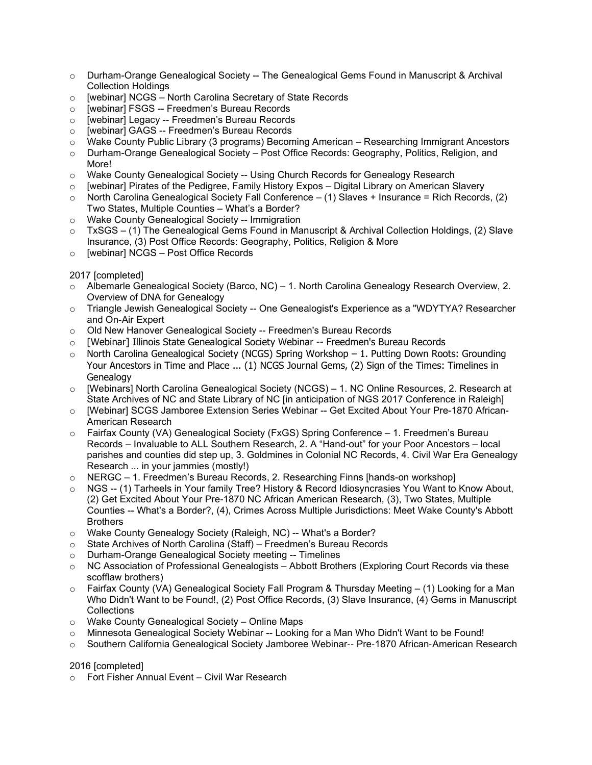- o Durham-Orange Genealogical Society -- The Genealogical Gems Found in Manuscript & Archival Collection Holdings
- o [webinar] NCGS North Carolina Secretary of State Records
- o [webinar] FSGS -- Freedmen's Bureau Records
- o [webinar] Legacy -- Freedmen's Bureau Records
- o [webinar] GAGS -- Freedmen's Bureau Records
- o Wake County Public Library (3 programs) Becoming American Researching Immigrant Ancestors
- o Durham-Orange Genealogical Society Post Office Records: Geography, Politics, Religion, and More!
- o Wake County Genealogical Society -- Using Church Records for Genealogy Research
- $\circ$  [webinar] Pirates of the Pedigree, Family History Expos Digital Library on American Slavery
- $\circ$  North Carolina Genealogical Society Fall Conference (1) Slaves + Insurance = Rich Records, (2) Two States, Multiple Counties – What's a Border?
- o Wake County Genealogical Society -- Immigration
- $\circ$  TxSGS (1) The Genealogical Gems Found in Manuscript & Archival Collection Holdings, (2) Slave Insurance, (3) Post Office Records: Geography, Politics, Religion & More
- o [webinar] NCGS Post Office Records

2017 [completed]

- o Albemarle Genealogical Society (Barco, NC) 1. North Carolina Genealogy Research Overview, 2. Overview of DNA for Genealogy
- o Triangle Jewish Genealogical Society -- One Genealogist's Experience as a "WDYTYA? Researcher and On-Air Expert
- o Old New Hanover Genealogical Society -- Freedmen's Bureau Records
- o [Webinar] Illinois State Genealogical Society Webinar -- Freedmen's Bureau Records
- $\circ$  North Carolina Genealogical Society (NCGS) Spring Workshop 1. Putting Down Roots: Grounding Your Ancestors in Time and Place ... (1) NCGS Journal Gems, (2) Sign of the Times: Timelines in Genealogy
- o [Webinars] North Carolina Genealogical Society (NCGS) 1. NC Online Resources, 2. Research at State Archives of NC and State Library of NC [in anticipation of NGS 2017 Conference in Raleigh]
- o [Webinar] SCGS Jamboree Extension Series Webinar -- Get Excited About Your Pre-1870 African-American Research
- o Fairfax County (VA) Genealogical Society (FxGS) Spring Conference 1. Freedmen's Bureau Records – Invaluable to ALL Southern Research, 2. A "Hand-out" for your Poor Ancestors – local parishes and counties did step up, 3. Goldmines in Colonial NC Records, 4. Civil War Era Genealogy Research ... in your jammies (mostly!)
- o NERGC 1. Freedmen's Bureau Records, 2. Researching Finns [hands-on workshop]
- o NGS -- (1) Tarheels in Your family Tree? History & Record Idiosyncrasies You Want to Know About, (2) Get Excited About Your Pre-1870 NC African American Research, (3), Two States, Multiple Counties -- What's a Border?, (4), Crimes Across Multiple Jurisdictions: Meet Wake County's Abbott **Brothers**
- o Wake County Genealogy Society (Raleigh, NC) -- What's a Border?
- o State Archives of North Carolina (Staff) Freedmen's Bureau Records
- o Durham-Orange Genealogical Society meeting -- Timelines
- o NC Association of Professional Genealogists Abbott Brothers (Exploring Court Records via these scofflaw brothers)
- Fairfax County (VA) Genealogical Society Fall Program & Thursday Meeting (1) Looking for a Man Who Didn't Want to be Found!, (2) Post Office Records, (3) Slave Insurance, (4) Gems in Manuscript Collections
- o Wake County Genealogical Society Online Maps
- o Minnesota Genealogical Society Webinar -- Looking for a Man Who Didn't Want to be Found!
- o Southern California Genealogical Society Jamboree Webinar‐‐ Pre‐1870 African‐American Research

2016 [completed]

o Fort Fisher Annual Event – Civil War Research